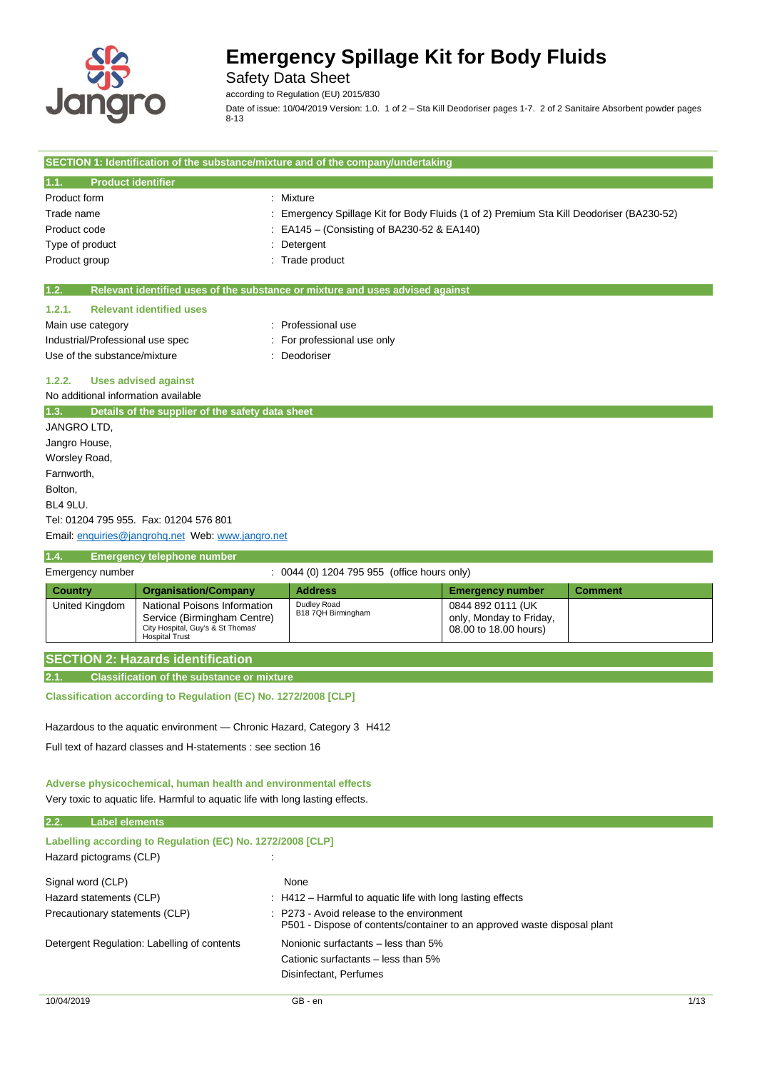

Safety Data Sheet

according to Regulation (EU) 2015/830

Date of issue: 10/04/2019 Version: 1.0. 1 of 2 – Sta Kill Deodoriser pages 1-7. 2 of 2 Sanitaire Absorbent powder pages  $8 - 13$ 

|                                     |                                                             | SECTION 1: Identification of the substance/mixture and of the company/undertaking      |                                              |                |
|-------------------------------------|-------------------------------------------------------------|----------------------------------------------------------------------------------------|----------------------------------------------|----------------|
| <b>Product identifier</b><br>1.1.   |                                                             |                                                                                        |                                              |                |
| Product form                        |                                                             | Mixture                                                                                |                                              |                |
| Trade name                          |                                                             | Emergency Spillage Kit for Body Fluids (1 of 2) Premium Sta Kill Deodoriser (BA230-52) |                                              |                |
| Product code                        |                                                             | EA145 – (Consisting of BA230-52 & EA140)                                               |                                              |                |
| Type of product                     |                                                             | Detergent                                                                              |                                              |                |
| Product group                       |                                                             | Trade product                                                                          |                                              |                |
| 1.2.                                |                                                             | Relevant identified uses of the substance or mixture and uses advised against          |                                              |                |
| 1.2.1.                              | <b>Relevant identified uses</b>                             |                                                                                        |                                              |                |
| Main use category                   |                                                             | Professional use                                                                       |                                              |                |
| Industrial/Professional use spec    |                                                             | For professional use only                                                              |                                              |                |
| Use of the substance/mixture        |                                                             | Deodoriser                                                                             |                                              |                |
| 1.2.2.                              | <b>Uses advised against</b>                                 |                                                                                        |                                              |                |
| No additional information available |                                                             |                                                                                        |                                              |                |
| 1.3.                                | Details of the supplier of the safety data sheet            |                                                                                        |                                              |                |
| <b>JANGRO LTD.</b>                  |                                                             |                                                                                        |                                              |                |
| Jangro House,                       |                                                             |                                                                                        |                                              |                |
| Worsley Road,                       |                                                             |                                                                                        |                                              |                |
| Farnworth,                          |                                                             |                                                                                        |                                              |                |
| Bolton,                             |                                                             |                                                                                        |                                              |                |
| <b>BL4 9LU.</b>                     |                                                             |                                                                                        |                                              |                |
|                                     | Tel: 01204 795 955. Fax: 01204 576 801                      |                                                                                        |                                              |                |
|                                     | Email: enquiries@jangrohq.net Web: www.jangro.net           |                                                                                        |                                              |                |
| 1.4.                                | <b>Emergency telephone number</b>                           |                                                                                        |                                              |                |
| Emergency number                    |                                                             | : 0044 (0) 1204 795 955 (office hours only)                                            |                                              |                |
| <b>Country</b>                      | <b>Organisation/Company</b>                                 | <b>Address</b>                                                                         | <b>Emergency number</b>                      | <b>Comment</b> |
| United Kingdom                      | National Poisons Information<br>Service (Birmingham Centre) | Dudley Road<br>B18 7QH Birmingham                                                      | 0844 892 0111 (UK<br>only, Monday to Friday, |                |

| City Hospital, Guy's & St Thomas'<br><b>Hospital Trust</b> | 08.00 to 18.00 hours) |
|------------------------------------------------------------|-----------------------|
| <b>SECTION 2: Hazards identification</b>                   |                       |
| Classification of the substance or mixture                 |                       |

**Classification according to Regulation (EC) No. 1272/2008 [CLP]**

Hazardous to the aquatic environment — Chronic Hazard, Category 3 H412

Full text of hazard classes and H-statements : see section 16

### **Adverse physicochemical, human health and environmental effects** Very toxic to aquatic life. Harmful to aquatic life with long lasting effects.

| 2.2.<br><b>Label elements</b>                                                         |                                                                                                                                  |
|---------------------------------------------------------------------------------------|----------------------------------------------------------------------------------------------------------------------------------|
| Labelling according to Regulation (EC) No. 1272/2008 [CLP]<br>Hazard pictograms (CLP) |                                                                                                                                  |
| Signal word (CLP)                                                                     | None                                                                                                                             |
| Hazard statements (CLP)                                                               | : H412 - Harmful to aquatic life with long lasting effects                                                                       |
| Precautionary statements (CLP)                                                        | $\therefore$ P273 - Avoid release to the environment<br>P501 - Dispose of contents/container to an approved waste disposal plant |
| Detergent Regulation: Labelling of contents                                           | Nonionic surfactants – less than 5%                                                                                              |
|                                                                                       | Cationic surfactants – less than 5%                                                                                              |
|                                                                                       | Disinfectant, Perfumes                                                                                                           |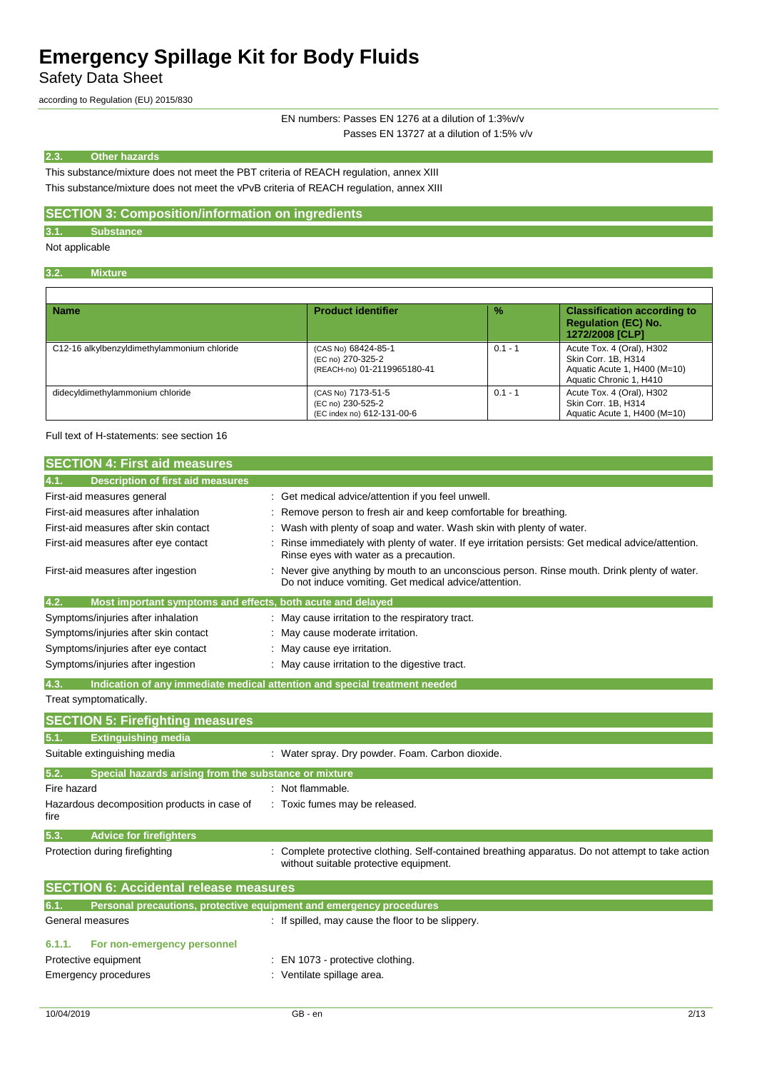Safety Data Sheet

according to Regulation (EU) 2015/830

EN numbers: Passes EN 1276 at a dilution of 1:3%v/v Passes EN 13727 at a dilution of 1:5% v/v

### **2.3. Other hazards**

This substance/mixture does not meet the PBT criteria of REACH regulation, annex XIII This substance/mixture does not meet the vPvB criteria of REACH regulation, annex XIII

## **SECTION 3: Composition/information on ingredients**

**3.1. Substance**

Not applicable

### **3.2. Mixture**

| <b>Name</b>                                 | <b>Product identifier</b>                                               | $\frac{9}{6}$ | <b>Classification according to</b><br><b>Requlation (EC) No.</b><br>1272/2008 [CLP]                         |
|---------------------------------------------|-------------------------------------------------------------------------|---------------|-------------------------------------------------------------------------------------------------------------|
| C12-16 alkylbenzyldimethylammonium chloride | (CAS No) 68424-85-1<br>(EC no) 270-325-2<br>(REACH-no) 01-2119965180-41 | $0.1 - 1$     | Acute Tox. 4 (Oral), H302<br>Skin Corr. 1B, H314<br>Aquatic Acute 1, H400 (M=10)<br>Aquatic Chronic 1, H410 |
| didecyldimethylammonium chloride            | (CAS No) 7173-51-5<br>(EC no) 230-525-2<br>(EC index no) 612-131-00-6   | $0.1 - 1$     | Acute Tox. 4 (Oral), H302<br>Skin Corr. 1B, H314<br>Aquatic Acute 1, H400 (M=10)                            |

Full text of H-statements: see section 16

| <b>SECTION 4: First aid measures</b>                                        |                                                                                                                                                     |
|-----------------------------------------------------------------------------|-----------------------------------------------------------------------------------------------------------------------------------------------------|
| 4.1.<br><b>Description of first aid measures</b>                            |                                                                                                                                                     |
| First-aid measures general                                                  | Get medical advice/attention if you feel unwell.                                                                                                    |
| First-aid measures after inhalation                                         | Remove person to fresh air and keep comfortable for breathing.                                                                                      |
| First-aid measures after skin contact                                       | Wash with plenty of soap and water. Wash skin with plenty of water.                                                                                 |
| First-aid measures after eye contact                                        | Rinse immediately with plenty of water. If eye irritation persists: Get medical advice/attention.<br>Rinse eyes with water as a precaution.         |
| First-aid measures after ingestion                                          | Never give anything by mouth to an unconscious person. Rinse mouth. Drink plenty of water.<br>Do not induce vomiting. Get medical advice/attention. |
| 4.2.<br>Most important symptoms and effects, both acute and delayed         |                                                                                                                                                     |
| Symptoms/injuries after inhalation                                          | May cause irritation to the respiratory tract.                                                                                                      |
| Symptoms/injuries after skin contact                                        | May cause moderate irritation.                                                                                                                      |
| Symptoms/injuries after eye contact                                         | May cause eye irritation.                                                                                                                           |
| Symptoms/injuries after ingestion                                           | May cause irritation to the digestive tract.                                                                                                        |
| 4.3.                                                                        | Indication of any immediate medical attention and special treatment needed                                                                          |
| Treat symptomatically.                                                      |                                                                                                                                                     |
| <b>SECTION 5: Firefighting measures</b>                                     |                                                                                                                                                     |
| <b>Extinguishing media</b><br>5.1.                                          |                                                                                                                                                     |
| Suitable extinguishing media                                                | : Water spray. Dry powder. Foam. Carbon dioxide.                                                                                                    |
| 5.2.<br>Special hazards arising from the substance or mixture               |                                                                                                                                                     |
| Fire hazard                                                                 | : Not flammable.                                                                                                                                    |
| Hazardous decomposition products in case of<br>fire                         | Toxic fumes may be released.                                                                                                                        |
| 5.3.<br><b>Advice for firefighters</b>                                      |                                                                                                                                                     |
| Protection during firefighting                                              | Complete protective clothing. Self-contained breathing apparatus. Do not attempt to take action<br>without suitable protective equipment.           |
| <b>SECTION 6: Accidental release measures</b>                               |                                                                                                                                                     |
| 6.1.<br>Personal precautions, protective equipment and emergency procedures |                                                                                                                                                     |
| General measures                                                            | : If spilled, may cause the floor to be slippery.                                                                                                   |
| 6.1.1.<br>For non-emergency personnel                                       |                                                                                                                                                     |
| Protective equipment                                                        | EN 1073 - protective clothing.                                                                                                                      |
| <b>Emergency procedures</b>                                                 | Ventilate spillage area.                                                                                                                            |

1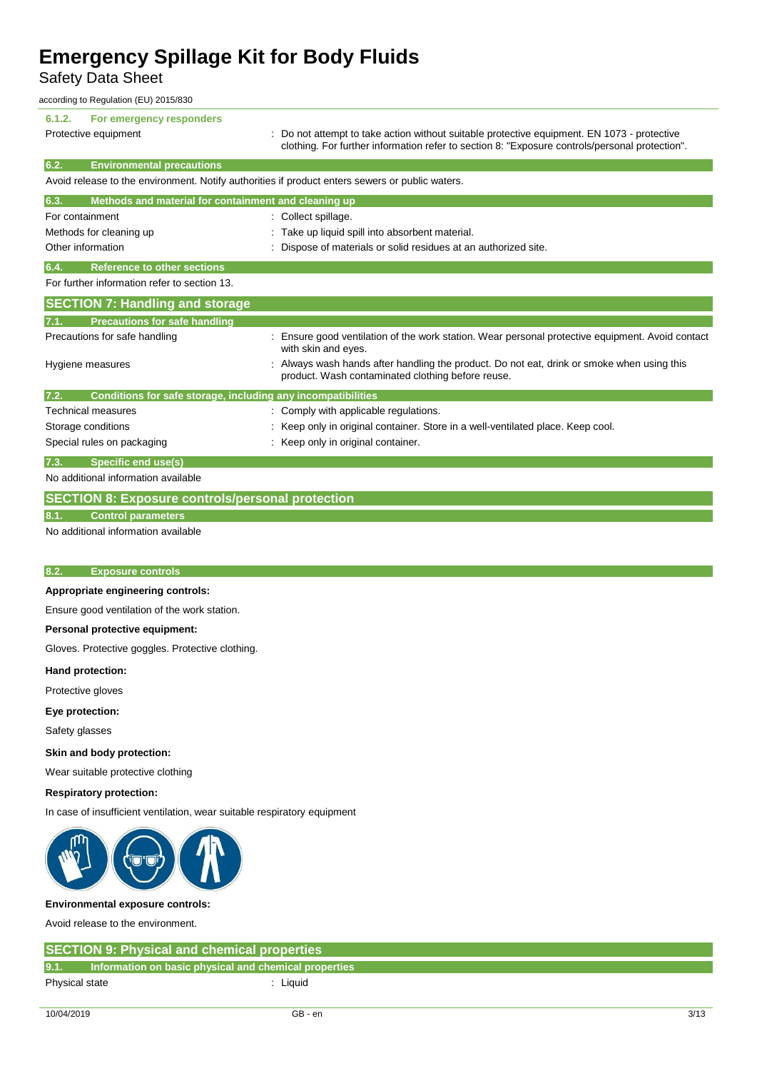Safety Data Sheet

according to Regulation (EU) 2015/830

| For emergency responders<br>6.1.2.                                                              |                                                                                                                                               |
|-------------------------------------------------------------------------------------------------|-----------------------------------------------------------------------------------------------------------------------------------------------|
| Protective equipment                                                                            | : Do not attempt to take action without suitable protective equipment. EN 1073 - protective                                                   |
|                                                                                                 | clothing. For further information refer to section 8: "Exposure controls/personal protection".                                                |
| 6.2.<br><b>Environmental precautions</b>                                                        |                                                                                                                                               |
| Avoid release to the environment. Notify authorities if product enters sewers or public waters. |                                                                                                                                               |
| Methods and material for containment and cleaning up<br>6.3.                                    |                                                                                                                                               |
| For containment                                                                                 | : Collect spillage.                                                                                                                           |
| Methods for cleaning up                                                                         | Take up liquid spill into absorbent material.                                                                                                 |
| Other information                                                                               | Dispose of materials or solid residues at an authorized site.                                                                                 |
| <b>Reference to other sections</b><br>6.4.                                                      |                                                                                                                                               |
| For further information refer to section 13.                                                    |                                                                                                                                               |
| <b>SECTION 7: Handling and storage</b>                                                          |                                                                                                                                               |
|                                                                                                 |                                                                                                                                               |
| <b>Precautions for safe handling</b><br>7.1.                                                    |                                                                                                                                               |
| Precautions for safe handling                                                                   | Ensure good ventilation of the work station. Wear personal protective equipment. Avoid contact<br>with skin and eyes.                         |
| Hygiene measures                                                                                | Always wash hands after handling the product. Do not eat, drink or smoke when using this<br>product. Wash contaminated clothing before reuse. |
| Conditions for safe storage, including any incompatibilities<br>7.2.                            |                                                                                                                                               |
| <b>Technical measures</b>                                                                       | Comply with applicable regulations.                                                                                                           |
| Storage conditions                                                                              | : Keep only in original container. Store in a well-ventilated place. Keep cool.                                                               |
| Special rules on packaging                                                                      | Keep only in original container.                                                                                                              |
| Specific end use(s)<br>7.3.                                                                     |                                                                                                                                               |
| No additional information available                                                             |                                                                                                                                               |
| <b>SECTION 8: Exposure controls/personal protection</b>                                         |                                                                                                                                               |
| <b>Control parameters</b><br>8.1                                                                |                                                                                                                                               |
| No additional information available                                                             |                                                                                                                                               |
|                                                                                                 |                                                                                                                                               |
|                                                                                                 |                                                                                                                                               |
| 8.2.<br><b>Exposure controls</b>                                                                |                                                                                                                                               |

### **Appropriate engineering controls:**

Ensure good ventilation of the work station.

### **Personal protective equipment:**

Gloves. Protective goggles. Protective clothing.

### **Hand protection:**

Protective gloves

**Eye protection:**

Safety glasses

### **Skin and body protection:**

Wear suitable protective clothing

### **Respiratory protection:**

In case of insufficient ventilation, wear suitable respiratory equipment



### **Environmental exposure controls:**

Avoid release to the environment.

| <b>SECTION 9: Physical and chemical properties</b> |                                                       |  |
|----------------------------------------------------|-------------------------------------------------------|--|
| 9.1.                                               | Information on basic physical and chemical properties |  |
| Physical state                                     | Liquid                                                |  |
|                                                    |                                                       |  |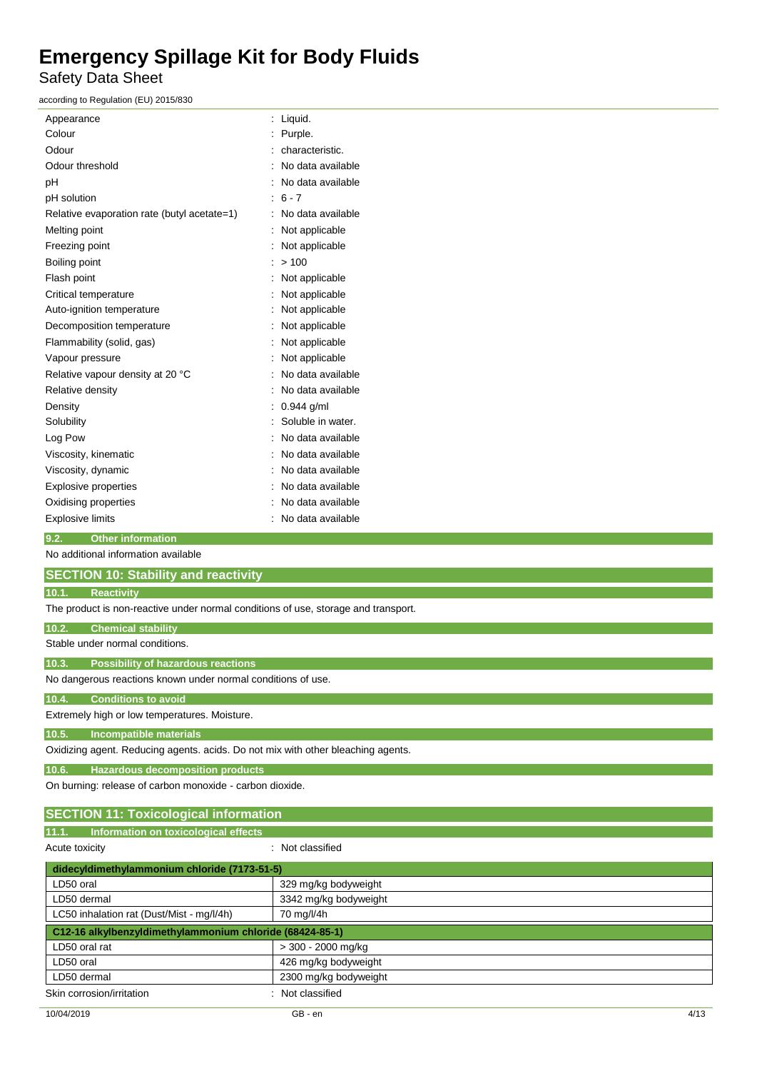Safety Data Sheet

| according to Regulation (EU) 2015/830                                              |                       |  |
|------------------------------------------------------------------------------------|-----------------------|--|
| Appearance                                                                         | : Liquid.             |  |
| Colour                                                                             | Purple.<br>t.         |  |
| Odour                                                                              | characteristic.       |  |
| Odour threshold                                                                    | No data available     |  |
| рH                                                                                 | No data available     |  |
| pH solution                                                                        | $6 - 7$               |  |
| Relative evaporation rate (butyl acetate=1)                                        | No data available     |  |
| Melting point                                                                      | Not applicable        |  |
| Freezing point                                                                     | Not applicable        |  |
| Boiling point                                                                      | >100                  |  |
| Flash point                                                                        | Not applicable        |  |
| Critical temperature                                                               | Not applicable        |  |
| Auto-ignition temperature                                                          | Not applicable        |  |
| Decomposition temperature                                                          | Not applicable        |  |
| Flammability (solid, gas)                                                          | Not applicable        |  |
| Vapour pressure                                                                    | Not applicable        |  |
| Relative vapour density at 20 °C                                                   | No data available     |  |
| Relative density                                                                   | No data available     |  |
| Density                                                                            | 0.944 g/ml            |  |
| Solubility                                                                         | Soluble in water.     |  |
| Log Pow                                                                            | No data available     |  |
| Viscosity, kinematic                                                               | No data available     |  |
| Viscosity, dynamic                                                                 | No data available     |  |
| <b>Explosive properties</b>                                                        | No data available     |  |
| Oxidising properties                                                               | No data available     |  |
| <b>Explosive limits</b>                                                            | No data available     |  |
| 9.2.<br><b>Other information</b>                                                   |                       |  |
| No additional information available                                                |                       |  |
| <b>SECTION 10: Stability and reactivity</b>                                        |                       |  |
| <b>Reactivity</b><br>10.1.                                                         |                       |  |
| The product is non-reactive under normal conditions of use, storage and transport. |                       |  |
| 10.2.<br><b>Chemical stability</b>                                                 |                       |  |
| Stable under normal conditions.                                                    |                       |  |
| 10.3.<br><b>Possibility of hazardous reactions</b>                                 |                       |  |
| No dangerous reactions known under normal conditions of use.                       |                       |  |
| 10.4.<br><b>Conditions to avoid</b>                                                |                       |  |
| Extremely high or low temperatures. Moisture.                                      |                       |  |
| 10.5.<br>Incompatible materials                                                    |                       |  |
| Oxidizing agent. Reducing agents. acids. Do not mix with other bleaching agents.   |                       |  |
| <b>Hazardous decomposition products</b><br>10.6.                                   |                       |  |
| On burning: release of carbon monoxide - carbon dioxide.                           |                       |  |
| <b>SECTION 11: Toxicological information</b>                                       |                       |  |
| Information on toxicological effects<br>11.1.                                      |                       |  |
| Acute toxicity                                                                     | : Not classified      |  |
| didecyldimethylammonium chloride (7173-51-5)                                       |                       |  |
| LD50 oral                                                                          | 329 mg/kg bodyweight  |  |
| LD50 dermal                                                                        | 3342 mg/kg bodyweight |  |
| LC50 inhalation rat (Dust/Mist - mg/l/4h)                                          | 70 mg/l/4h            |  |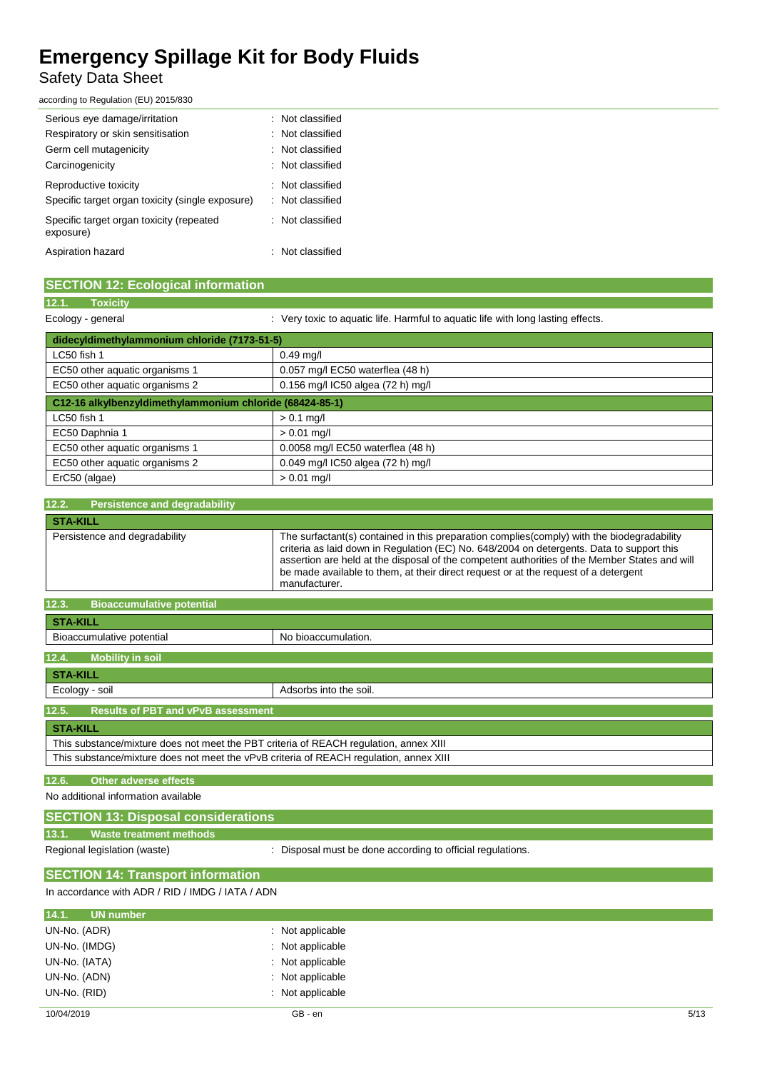## Safety Data Sheet

according to Regulation (EU) 2015/830

| Serious eye damage/irritation                         | : Not classified            |
|-------------------------------------------------------|-----------------------------|
| Respiratory or skin sensitisation                     | : Not classified            |
| Germ cell mutagenicity                                | : Not classified            |
| Carcinogenicity                                       | $\therefore$ Not classified |
| Reproductive toxicity                                 | $\therefore$ Not classified |
| Specific target organ toxicity (single exposure)      | : Not classified            |
| Specific target organ toxicity (repeated<br>exposure) | : Not classified            |
| Aspiration hazard                                     | $\therefore$ Not classified |

| <b>SECTION 12: Ecological information</b>    |                                                                                  |
|----------------------------------------------|----------------------------------------------------------------------------------|
| 12.1.<br>Toxicity                            |                                                                                  |
| Ecology - general                            | : Very toxic to aquatic life. Harmful to aquatic life with long lasting effects. |
| didecyldimethylammonium chloride (7173-51-5) |                                                                                  |

| LC50 fish 1                                              | $0.49$ mg/l                       |
|----------------------------------------------------------|-----------------------------------|
| EC50 other aquatic organisms 1                           | 0.057 mg/l EC50 waterflea (48 h)  |
| EC50 other aquatic organisms 2                           | 0.156 mg/l IC50 algea (72 h) mg/l |
| C12-16 alkylbenzyldimethylammonium chloride (68424-85-1) |                                   |
| LC50 fish 1                                              | $> 0.1$ mg/l                      |
| EC50 Daphnia 1                                           | $> 0.01$ mg/l                     |
| EC50 other aquatic organisms 1                           | 0.0058 mg/l EC50 waterflea (48 h) |
| EC50 other aquatic organisms 2                           | 0.049 mg/l IC50 algea (72 h) mg/l |
| ErC50 (algae)                                            | $> 0.01$ mg/l                     |

| 12.2.<br><b>Persistence and degradability</b> |                                                                                                                                                                                                                                                                                                                                                                                                  |
|-----------------------------------------------|--------------------------------------------------------------------------------------------------------------------------------------------------------------------------------------------------------------------------------------------------------------------------------------------------------------------------------------------------------------------------------------------------|
| <b>STA-KILL</b>                               |                                                                                                                                                                                                                                                                                                                                                                                                  |
| Persistence and degradability                 | The surfactant(s) contained in this preparation complies(comply) with the biodegradability<br>criteria as laid down in Regulation (EC) No. 648/2004 on detergents. Data to support this<br>assertion are held at the disposal of the competent authorities of the Member States and will<br>be made available to them, at their direct request or at the request of a detergent<br>manufacturer. |

| 12.3.<br><b>Bioaccumulative potential</b>                                              |                        |  |  |
|----------------------------------------------------------------------------------------|------------------------|--|--|
| <b>STA-KILL</b>                                                                        |                        |  |  |
| Bioaccumulative potential                                                              | No bioaccumulation.    |  |  |
| 12.4.<br><b>Mobility in soil</b>                                                       |                        |  |  |
| <b>STA-KILL</b>                                                                        |                        |  |  |
| Ecology - soil                                                                         | Adsorbs into the soil. |  |  |
| 12.5.<br><b>Results of PBT and vPvB assessment</b>                                     |                        |  |  |
| <b>STA-KILL</b>                                                                        |                        |  |  |
| This substance/mixture does not meet the PBT criteria of REACH regulation, annex XIII  |                        |  |  |
| This substance/mixture does not meet the vPvB criteria of REACH regulation, annex XIII |                        |  |  |

### **12.6. Other adverse effects**

No additional information available

## **SECTION 13: Disposal considerations**

**13.1. Waste treatment methods**

Regional legislation (waste)  $\qquad \qquad$ : Disposal must be done according to official regulations.

### **SECTION 14: Transport information**

In accordance with ADR / RID / IMDG / IATA / ADN

| 14.1. UN number |                  |
|-----------------|------------------|
| UN-No. (ADR)    | : Not applicable |
| UN-No. (IMDG)   | : Not applicable |
| UN-No. (IATA)   | : Not applicable |
| UN-No. (ADN)    | : Not applicable |
| UN-No. (RID)    | : Not applicable |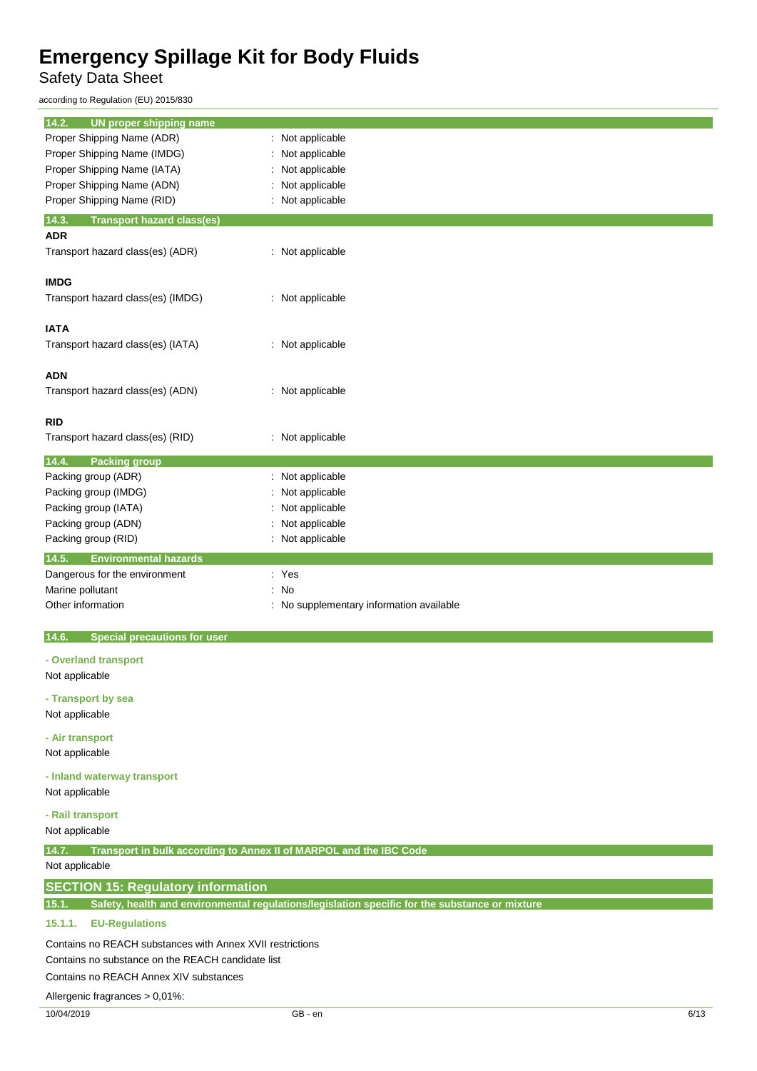Safety Data Sheet

l,

according to Regulation (EU) 2015/830

| 14.2.<br>UN proper shipping name                                                                        |      |  |
|---------------------------------------------------------------------------------------------------------|------|--|
| Proper Shipping Name (ADR)<br>Not applicable<br>÷.                                                      |      |  |
| Proper Shipping Name (IMDG)<br>Not applicable<br>Proper Shipping Name (IATA)<br>Not applicable          |      |  |
| Proper Shipping Name (ADN)<br>Not applicable                                                            |      |  |
| Proper Shipping Name (RID)<br>Not applicable                                                            |      |  |
| 14.3.                                                                                                   |      |  |
| <b>Transport hazard class(es)</b><br><b>ADR</b>                                                         |      |  |
| Transport hazard class(es) (ADR)<br>: Not applicable                                                    |      |  |
| <b>IMDG</b>                                                                                             |      |  |
| Transport hazard class(es) (IMDG)<br>: Not applicable                                                   |      |  |
|                                                                                                         |      |  |
| <b>IATA</b>                                                                                             |      |  |
| Transport hazard class(es) (IATA)<br>: Not applicable                                                   |      |  |
|                                                                                                         |      |  |
| <b>ADN</b><br>: Not applicable                                                                          |      |  |
| Transport hazard class(es) (ADN)                                                                        |      |  |
| <b>RID</b>                                                                                              |      |  |
| Transport hazard class(es) (RID)<br>: Not applicable                                                    |      |  |
|                                                                                                         |      |  |
| 14.4.<br><b>Packing group</b>                                                                           |      |  |
| Packing group (ADR)<br>Not applicable<br>t<br>Packing group (IMDG)<br>Not applicable                    |      |  |
| Packing group (IATA)<br>Not applicable                                                                  |      |  |
| Not applicable<br>Packing group (ADN)                                                                   |      |  |
|                                                                                                         |      |  |
| Not applicable<br>Packing group (RID)                                                                   |      |  |
| <b>Environmental hazards</b><br>14.5.                                                                   |      |  |
| : Yes<br>Dangerous for the environment                                                                  |      |  |
| Marine pollutant<br>No                                                                                  |      |  |
| Other information<br>No supplementary information available                                             |      |  |
| 14.6.<br><b>Special precautions for user</b>                                                            |      |  |
| - Overland transport                                                                                    |      |  |
| Not applicable                                                                                          |      |  |
| - Transport by sea                                                                                      |      |  |
| Not applicable                                                                                          |      |  |
|                                                                                                         |      |  |
| - Air transport                                                                                         |      |  |
| Not applicable                                                                                          |      |  |
| - Inland waterway transport                                                                             |      |  |
| Not applicable                                                                                          |      |  |
| - Rail transport                                                                                        |      |  |
| Not applicable                                                                                          |      |  |
| 14.7.<br>Transport in bulk according to Annex II of MARPOL and the IBC Code                             |      |  |
| Not applicable                                                                                          |      |  |
| <b>SECTION 15: Regulatory information</b>                                                               |      |  |
| Safety, health and environmental regulations/legislation specific for the substance or mixture<br>15.1. |      |  |
| 15.1.1.<br><b>EU-Regulations</b>                                                                        |      |  |
|                                                                                                         |      |  |
| Contains no REACH substances with Annex XVII restrictions                                               |      |  |
| Contains no substance on the REACH candidate list                                                       |      |  |
| Contains no REACH Annex XIV substances                                                                  |      |  |
| Allergenic fragrances > 0,01%:                                                                          |      |  |
| 10/04/2019<br>GB - en                                                                                   | 6/13 |  |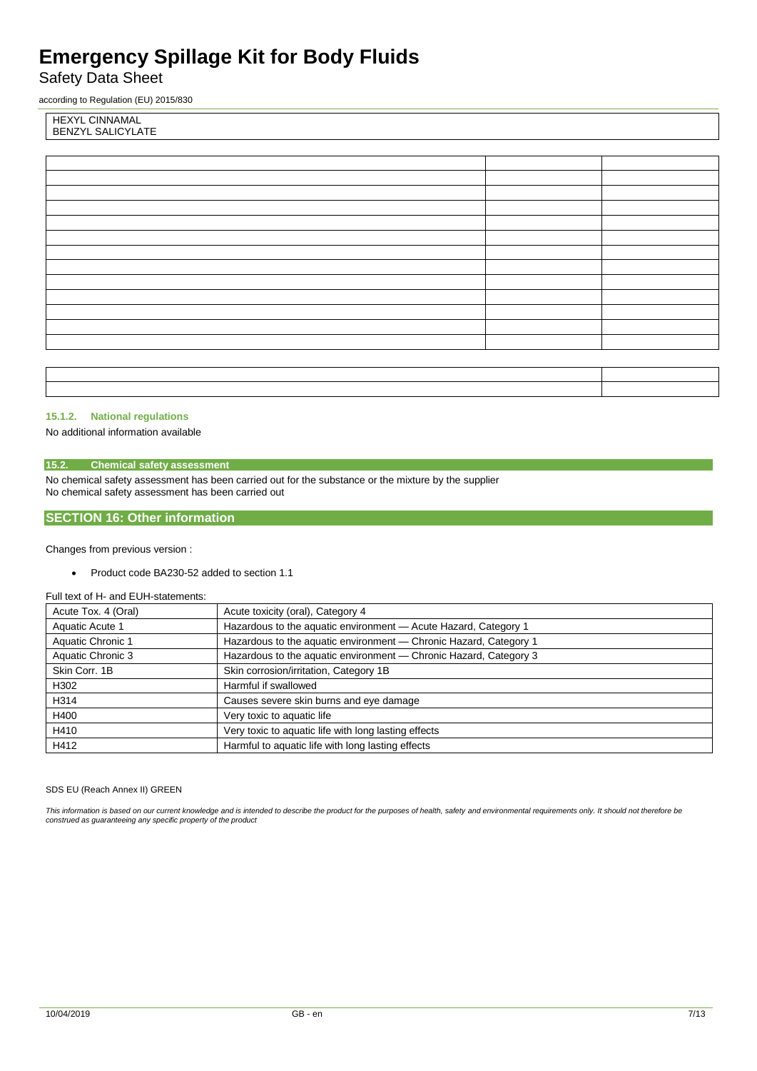Safety Data Sheet

according to Regulation (EU) 2015/830

HEXYL CINNAMAL BENZYL SALICYLATE

### **15.1.2. National regulations**

No additional information available

### **15.2. Chemical safety assessment**

No chemical safety assessment has been carried out for the substance or the mixture by the supplier No chemical safety assessment has been carried out

### **SECTION 16: Other information**

Changes from previous version :

• Product code BA230-52 added to section 1.1

### Full text of H- and EUH-statements:

| Acute Tox. 4 (Oral) | Acute toxicity (oral), Category 4                                 |
|---------------------|-------------------------------------------------------------------|
| Aquatic Acute 1     | Hazardous to the aquatic environment - Acute Hazard, Category 1   |
| Aquatic Chronic 1   | Hazardous to the aquatic environment - Chronic Hazard, Category 1 |
| Aquatic Chronic 3   | Hazardous to the aquatic environment - Chronic Hazard, Category 3 |
| Skin Corr, 1B       | Skin corrosion/irritation, Category 1B                            |
| H302                | Harmful if swallowed                                              |
| H314                | Causes severe skin burns and eye damage                           |
| H400                | Very toxic to aquatic life                                        |
| H410                | Very toxic to aquatic life with long lasting effects              |
| H412                | Harmful to aquatic life with long lasting effects                 |

### SDS EU (Reach Annex II) GREEN

*This information is based on our current knowledge and is intended to describe the product for the purposes of health, safety and environmental requirements only. It should not therefore be construed as guaranteeing any specific property of the product*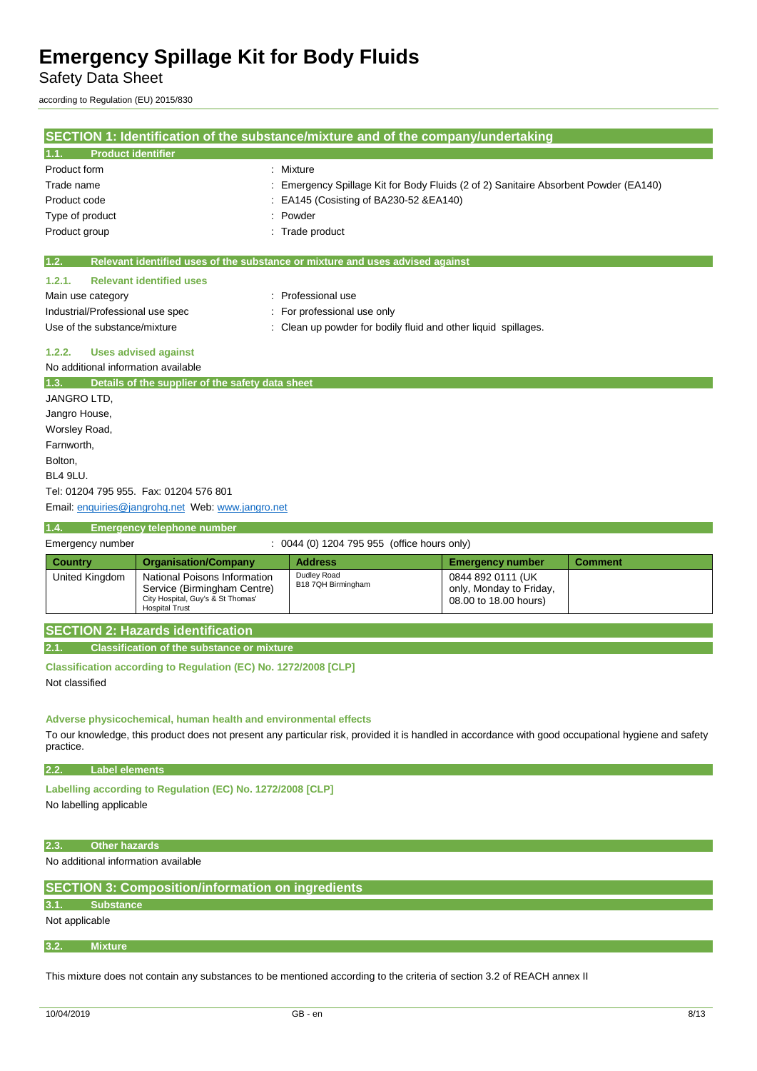Safety Data Sheet

according to Regulation (EU) 2015/830

| SECTION 1: Identification of the substance/mixture and of the company/undertaking |                                                                                                                           |                                                                                                                                                     |                                                                       |                |
|-----------------------------------------------------------------------------------|---------------------------------------------------------------------------------------------------------------------------|-----------------------------------------------------------------------------------------------------------------------------------------------------|-----------------------------------------------------------------------|----------------|
| <b>Product identifier</b><br>1.1.                                                 |                                                                                                                           |                                                                                                                                                     |                                                                       |                |
| Product form                                                                      |                                                                                                                           | Mixture                                                                                                                                             |                                                                       |                |
| Trade name                                                                        |                                                                                                                           | Emergency Spillage Kit for Body Fluids (2 of 2) Sanitaire Absorbent Powder (EA140)                                                                  |                                                                       |                |
| Product code                                                                      |                                                                                                                           | EA145 (Cosisting of BA230-52 & EA140)                                                                                                               |                                                                       |                |
| Type of product                                                                   |                                                                                                                           | Powder                                                                                                                                              |                                                                       |                |
| Product group                                                                     |                                                                                                                           | Trade product                                                                                                                                       |                                                                       |                |
| 1.2.                                                                              |                                                                                                                           | Relevant identified uses of the substance or mixture and uses advised against                                                                       |                                                                       |                |
| 1.2.1.                                                                            | <b>Relevant identified uses</b>                                                                                           |                                                                                                                                                     |                                                                       |                |
| Main use category                                                                 |                                                                                                                           | : Professional use                                                                                                                                  |                                                                       |                |
| Industrial/Professional use spec                                                  |                                                                                                                           | For professional use only                                                                                                                           |                                                                       |                |
| Use of the substance/mixture                                                      |                                                                                                                           | Clean up powder for bodily fluid and other liquid spillages.                                                                                        |                                                                       |                |
| 1.2.2.                                                                            | <b>Uses advised against</b>                                                                                               |                                                                                                                                                     |                                                                       |                |
| No additional information available                                               |                                                                                                                           |                                                                                                                                                     |                                                                       |                |
| 1.3.                                                                              | Details of the supplier of the safety data sheet                                                                          |                                                                                                                                                     |                                                                       |                |
| JANGRO LTD,                                                                       |                                                                                                                           |                                                                                                                                                     |                                                                       |                |
| Jangro House,                                                                     |                                                                                                                           |                                                                                                                                                     |                                                                       |                |
| Worsley Road,                                                                     |                                                                                                                           |                                                                                                                                                     |                                                                       |                |
| Farnworth,                                                                        |                                                                                                                           |                                                                                                                                                     |                                                                       |                |
| Bolton,                                                                           |                                                                                                                           |                                                                                                                                                     |                                                                       |                |
| BL4 9LU.                                                                          |                                                                                                                           |                                                                                                                                                     |                                                                       |                |
|                                                                                   | Tel: 01204 795 955. Fax: 01204 576 801                                                                                    |                                                                                                                                                     |                                                                       |                |
|                                                                                   | Email: enquiries@jangrohg.net Web: www.jangro.net                                                                         |                                                                                                                                                     |                                                                       |                |
| 1.4.                                                                              | <b>Emergency telephone number</b>                                                                                         |                                                                                                                                                     |                                                                       |                |
| Emergency number                                                                  |                                                                                                                           | : 0044 (0) 1204 795 955 (office hours only)                                                                                                         |                                                                       |                |
| <b>Country</b>                                                                    | <b>Organisation/Company</b>                                                                                               | <b>Address</b>                                                                                                                                      | <b>Emergency number</b>                                               | <b>Comment</b> |
| United Kingdom                                                                    | National Poisons Information<br>Service (Birmingham Centre)<br>City Hospital, Guy's & St Thomas'<br><b>Hospital Trust</b> | Dudley Road<br>B18 7QH Birmingham                                                                                                                   | 0844 892 0111 (UK<br>only, Monday to Friday,<br>08.00 to 18.00 hours) |                |
|                                                                                   | <b>SECTION 2: Hazards identification</b>                                                                                  |                                                                                                                                                     |                                                                       |                |
| 2.1.                                                                              | <b>Classification of the substance or mixture</b>                                                                         |                                                                                                                                                     |                                                                       |                |
| Not classified                                                                    | Classification according to Regulation (EC) No. 1272/2008 [CLP]                                                           |                                                                                                                                                     |                                                                       |                |
| practice.                                                                         | Adverse physicochemical, human health and environmental effects                                                           | To our knowledge, this product does not present any particular risk, provided it is handled in accordance with good occupational hygiene and safety |                                                                       |                |

**2.2. Label elements**

**Labelling according to Regulation (EC) No. 1272/2008 [CLP]** 

No labelling applicable

### **2.3. Other hazards**

No additional information available

**SECTION 3: Composition/information on ingredients**

```
3.1. Substance
```
Not applicable

**3.2. Mixture**

This mixture does not contain any substances to be mentioned according to the criteria of section 3.2 of REACH annex II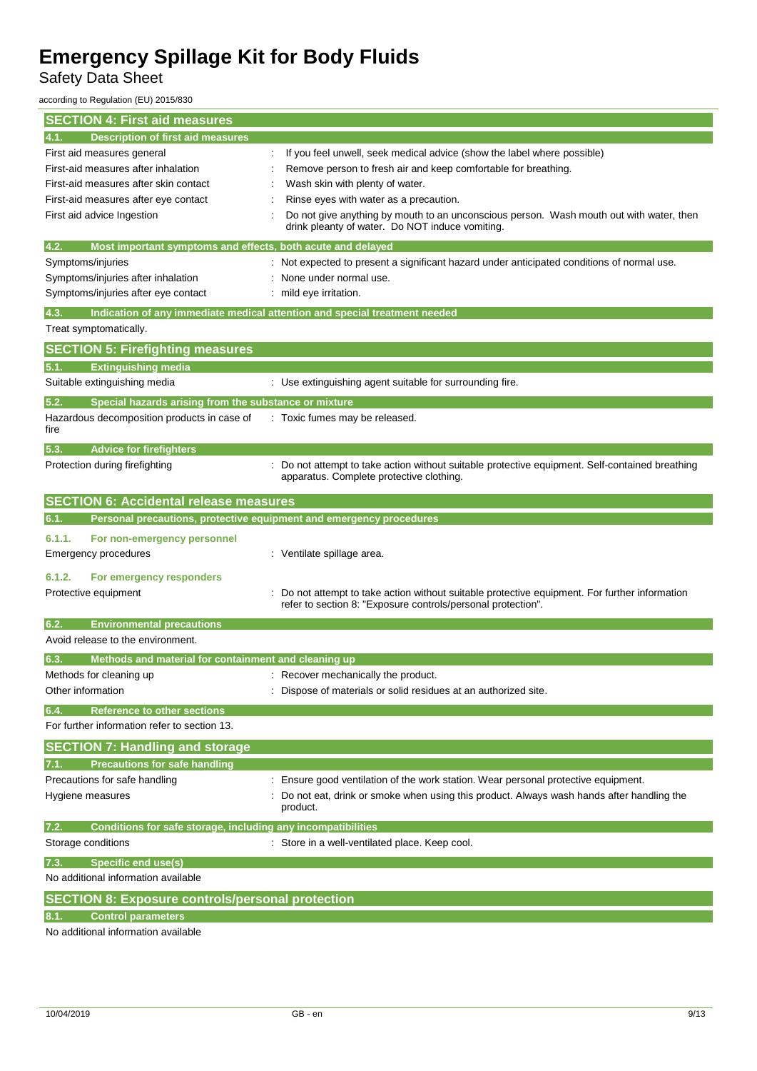Safety Data Sheet

according to Regulation (EU) 2015/830

| <b>SECTION 4: First aid measures</b>                                        |                                                                                                                                                              |
|-----------------------------------------------------------------------------|--------------------------------------------------------------------------------------------------------------------------------------------------------------|
| <b>Description of first aid measures</b><br>4.1.                            |                                                                                                                                                              |
| First aid measures general                                                  | If you feel unwell, seek medical advice (show the label where possible)                                                                                      |
| First-aid measures after inhalation                                         | Remove person to fresh air and keep comfortable for breathing.                                                                                               |
| First-aid measures after skin contact                                       | Wash skin with plenty of water.                                                                                                                              |
| First-aid measures after eye contact                                        | Rinse eyes with water as a precaution.                                                                                                                       |
| First aid advice Ingestion                                                  | Do not give anything by mouth to an unconscious person. Wash mouth out with water, then<br>drink pleanty of water. Do NOT induce vomiting.                   |
| Most important symptoms and effects, both acute and delayed<br>4.2.         |                                                                                                                                                              |
| Symptoms/injuries                                                           | Not expected to present a significant hazard under anticipated conditions of normal use.                                                                     |
| Symptoms/injuries after inhalation                                          | None under normal use.                                                                                                                                       |
| Symptoms/injuries after eye contact                                         | mild eye irritation.                                                                                                                                         |
| 4.3.                                                                        | Indication of any immediate medical attention and special treatment needed                                                                                   |
| Treat symptomatically.                                                      |                                                                                                                                                              |
| <b>SECTION 5: Firefighting measures</b>                                     |                                                                                                                                                              |
| <b>Extinguishing media</b><br>5.1.                                          |                                                                                                                                                              |
| Suitable extinguishing media                                                | : Use extinguishing agent suitable for surrounding fire.                                                                                                     |
| Special hazards arising from the substance or mixture<br>5.2.               |                                                                                                                                                              |
| Hazardous decomposition products in case of<br>fire                         | : Toxic fumes may be released.                                                                                                                               |
| <b>Advice for firefighters</b><br>5.3.                                      |                                                                                                                                                              |
| Protection during firefighting                                              | Do not attempt to take action without suitable protective equipment. Self-contained breathing<br>apparatus. Complete protective clothing.                    |
| <b>SECTION 6: Accidental release measures</b>                               |                                                                                                                                                              |
| Personal precautions, protective equipment and emergency procedures<br>6.1. |                                                                                                                                                              |
| 6.1.1.<br>For non-emergency personnel                                       |                                                                                                                                                              |
| Emergency procedures                                                        | : Ventilate spillage area.                                                                                                                                   |
| 6.1.2.<br>For emergency responders                                          |                                                                                                                                                              |
| Protective equipment                                                        | Do not attempt to take action without suitable protective equipment. For further information<br>refer to section 8: "Exposure controls/personal protection". |
| 6.2.<br><b>Environmental precautions</b>                                    |                                                                                                                                                              |
| Avoid release to the environment.                                           |                                                                                                                                                              |
| Methods and material for containment and cleaning up                        |                                                                                                                                                              |
| Methods for cleaning up                                                     | : Recover mechanically the product.                                                                                                                          |
| Other information                                                           | : Dispose of materials or solid residues at an authorized site.                                                                                              |
| 6.4.<br><b>Reference to other sections</b>                                  |                                                                                                                                                              |
| For further information refer to section 13.                                |                                                                                                                                                              |
| <b>SECTION 7: Handling and storage</b>                                      |                                                                                                                                                              |
| <b>Precautions for safe handling</b>                                        |                                                                                                                                                              |
| Precautions for safe handling                                               | : Ensure good ventilation of the work station. Wear personal protective equipment.                                                                           |
| Hygiene measures                                                            | Do not eat, drink or smoke when using this product. Always wash hands after handling the<br>product.                                                         |
| Conditions for safe storage, including any incompatibilities<br>7.2.        |                                                                                                                                                              |
| Storage conditions                                                          | : Store in a well-ventilated place. Keep cool.                                                                                                               |
| <b>Specific end use(s)</b><br>7.3.                                          |                                                                                                                                                              |
| No additional information available                                         |                                                                                                                                                              |
| <b>SECTION 8: Exposure controls/personal protection</b>                     |                                                                                                                                                              |
| <b>Control parameters</b>                                                   |                                                                                                                                                              |
| No additional information available                                         |                                                                                                                                                              |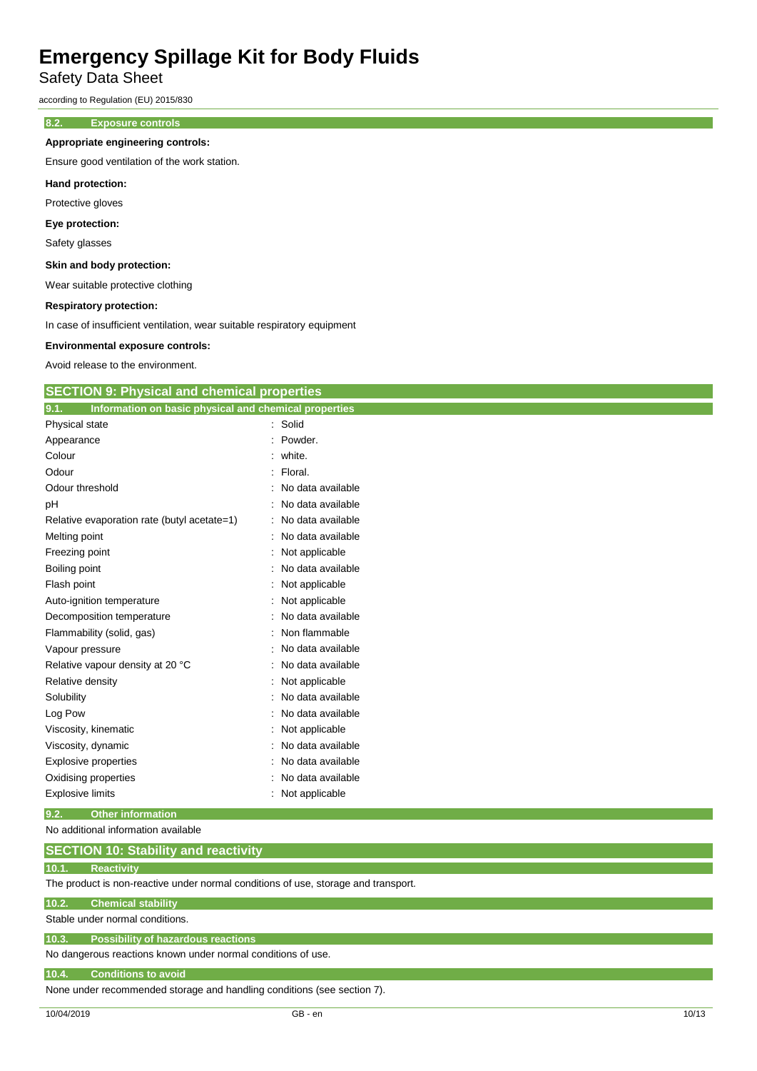Safety Data Sheet

according to Regulation (EU) 2015/830

### **8.2. Exposure controls**

### **Appropriate engineering controls:**

Ensure good ventilation of the work station.

#### **Hand protection:**

Protective gloves

### **Eye protection:**

Safety glasses

### **Skin and body protection:**

Wear suitable protective clothing

#### **Respiratory protection:**

In case of insufficient ventilation, wear suitable respiratory equipment

#### **Environmental exposure controls:**

Avoid release to the environment.

| <b>SECTION 9: Physical and chemical properties</b> |  |  |  |
|----------------------------------------------------|--|--|--|
|                                                    |  |  |  |

| Information on basic physical and chemical properties<br>9.1. |                     |
|---------------------------------------------------------------|---------------------|
| Physical state                                                | : Solid             |
| Appearance                                                    | Powder.             |
| Colour                                                        | : white.            |
| Odour                                                         | : Floral.           |
| Odour threshold                                               | : No data available |
| pH                                                            | No data available   |
| Relative evaporation rate (butyl acetate=1)                   | : No data available |
| Melting point                                                 | No data available   |
| Freezing point                                                | Not applicable      |
| Boiling point                                                 | No data available   |
| Flash point                                                   | Not applicable      |
| Auto-ignition temperature                                     | Not applicable      |
| Decomposition temperature                                     | No data available   |
| Flammability (solid, gas)                                     | Non flammable       |
| Vapour pressure                                               | No data available   |
| Relative vapour density at 20 °C                              | No data available   |
| Relative density                                              | : Not applicable    |
| Solubility                                                    | No data available   |
| Log Pow                                                       | No data available   |
| Viscosity, kinematic                                          | Not applicable      |
| Viscosity, dynamic                                            | No data available   |
| <b>Explosive properties</b>                                   | No data available   |
| Oxidising properties                                          | No data available   |
| <b>Explosive limits</b>                                       | Not applicable      |
|                                                               |                     |

### **9.2. Other information**

No additional information available

### **10.1. Reactivity**

The product is non-reactive under normal conditions of use, storage and transport.

### **10.2. Chemical stability**

Stable under normal conditions.

## **10.3. Possibility of hazardous reactions**

No dangerous reactions known under normal conditions of use.

### **10.4. Conditions to avoid**

None under recommended storage and handling conditions (see section 7).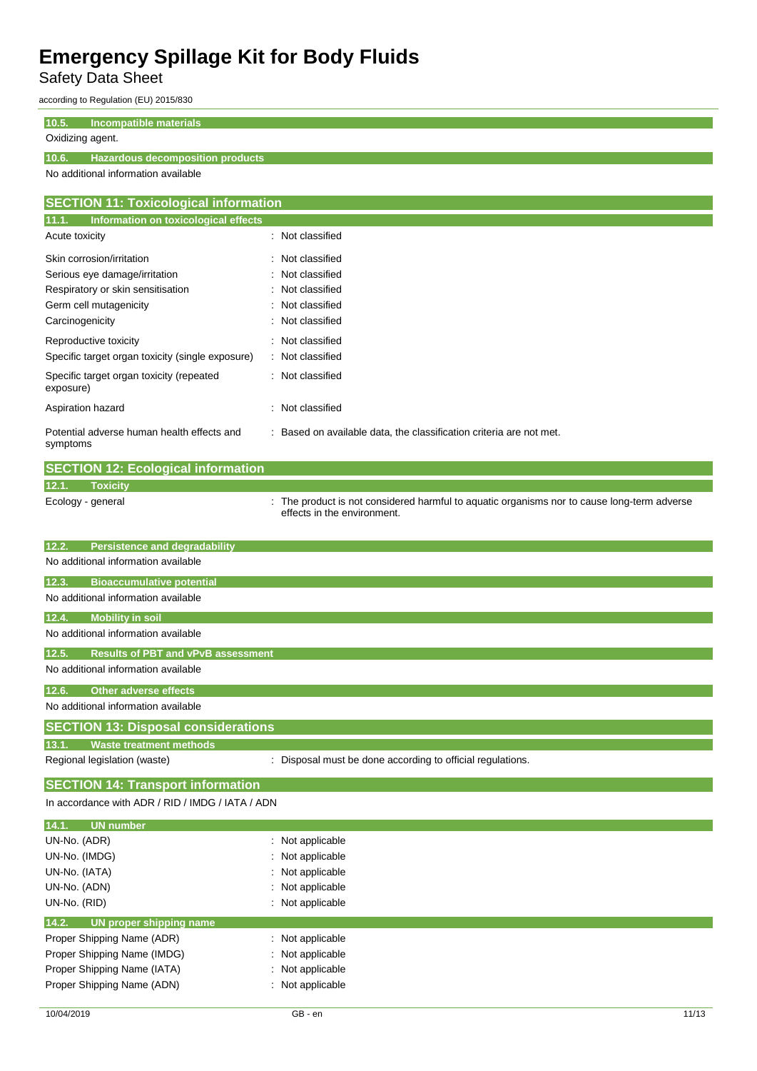Safety Data Sheet

according to Regulation (EU) 2015/830

### **10.5. Incompatible materials**

### Oxidizing agent.

### **10.6. Hazardous decomposition products**

No additional information available

| <b>SECTION 11: Toxicological information</b>           |                                                                     |  |  |
|--------------------------------------------------------|---------------------------------------------------------------------|--|--|
| 11.1.<br>Information on toxicological effects          |                                                                     |  |  |
| Acute toxicity                                         | Not classified<br>÷                                                 |  |  |
| Skin corrosion/irritation                              | : Not classified                                                    |  |  |
| Serious eye damage/irritation                          | : Not classified                                                    |  |  |
| Respiratory or skin sensitisation                      | : Not classified                                                    |  |  |
| Germ cell mutagenicity                                 | : Not classified                                                    |  |  |
| Carcinogenicity                                        | Not classified                                                      |  |  |
| Reproductive toxicity                                  | : Not classified                                                    |  |  |
| Specific target organ toxicity (single exposure)       | Not classified<br>÷                                                 |  |  |
| Specific target organ toxicity (repeated<br>exposure)  | : Not classified                                                    |  |  |
| Aspiration hazard                                      | Not classified<br>÷                                                 |  |  |
| Potential adverse human health effects and<br>symptoms | : Based on available data, the classification criteria are not met. |  |  |

|                   | <b>SECTION 12: Ecological information</b> |                                                                                                                            |
|-------------------|-------------------------------------------|----------------------------------------------------------------------------------------------------------------------------|
| 12.1.             | <b>Toxicity</b>                           |                                                                                                                            |
| Ecology - general |                                           | : The product is not considered harmful to aquatic organisms nor to cause long-term adverse<br>effects in the environment. |

| <b>Persistence and degradability</b><br>12.2.      |                                                            |
|----------------------------------------------------|------------------------------------------------------------|
| No additional information available                |                                                            |
| <b>Bioaccumulative potential</b><br>12.3.          |                                                            |
| No additional information available                |                                                            |
| <b>Mobility in soil</b><br>12.4.                   |                                                            |
| No additional information available                |                                                            |
| <b>Results of PBT and vPvB assessment</b><br>12.5. |                                                            |
| No additional information available                |                                                            |
| <b>Other adverse effects</b><br>12.6.              |                                                            |
| No additional information available                |                                                            |
| <b>SECTION 13: Disposal considerations</b>         |                                                            |
| 13.1.<br><b>Waste treatment methods</b>            |                                                            |
| Regional legislation (waste)                       | : Disposal must be done according to official regulations. |

## **SECTION 14: Transport information**

In accordance with ADR / RID / IMDG / IATA / ADN

| 14.1.<br>UN number               |                             |
|----------------------------------|-----------------------------|
| UN-No. (ADR)                     | $\therefore$ Not applicable |
| UN-No. (IMDG)                    | : Not applicable            |
| UN-No. (IATA)                    | : Not applicable            |
| UN-No. (ADN)                     | : Not applicable            |
| UN-No. (RID)                     | : Not applicable            |
| 14.2.<br>UN proper shipping name |                             |
|                                  |                             |
| Proper Shipping Name (ADR)       | $\therefore$ Not applicable |
| Proper Shipping Name (IMDG)      | $\therefore$ Not applicable |
| Proper Shipping Name (IATA)      | : Not applicable            |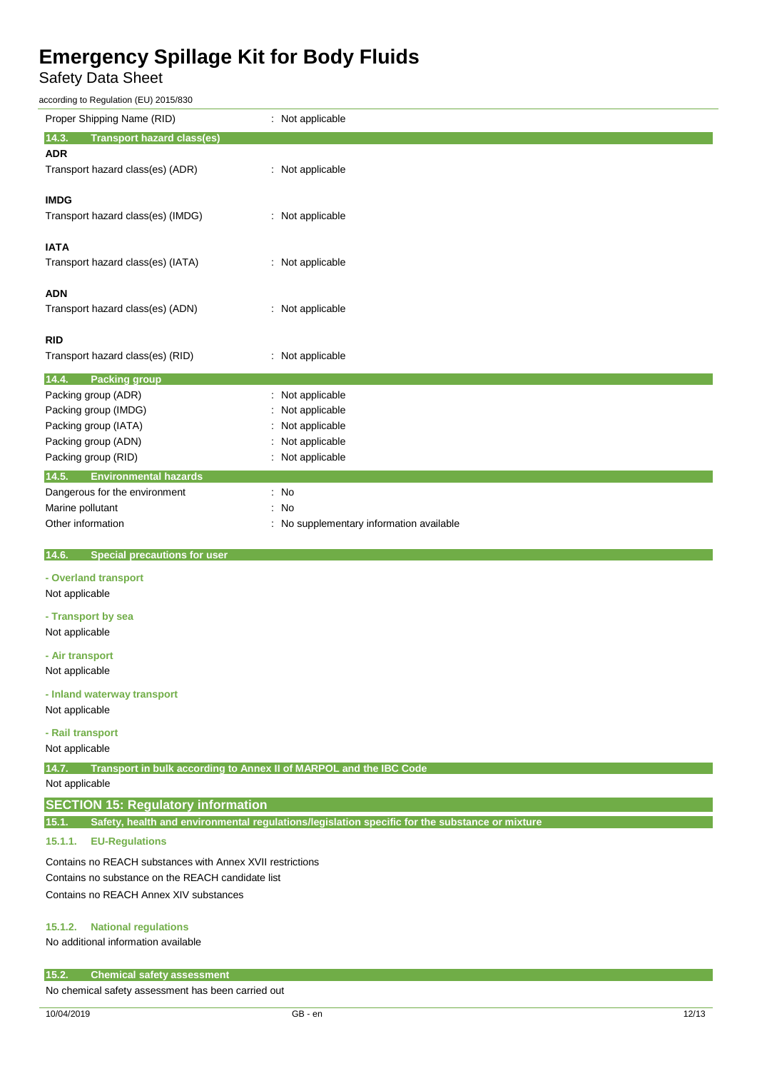Safety Data Sheet

according to Regulation (EU) 2015/830

| Proper Shipping Name (RID)                                               | : Not applicable                                                                               |  |
|--------------------------------------------------------------------------|------------------------------------------------------------------------------------------------|--|
| 14.3.<br><b>Transport hazard class(es)</b>                               |                                                                                                |  |
| <b>ADR</b>                                                               |                                                                                                |  |
| Transport hazard class(es) (ADR)                                         | Not applicable                                                                                 |  |
| <b>IMDG</b>                                                              |                                                                                                |  |
| Transport hazard class(es) (IMDG)                                        | : Not applicable                                                                               |  |
| <b>IATA</b>                                                              |                                                                                                |  |
| Transport hazard class(es) (IATA)                                        | : Not applicable                                                                               |  |
| <b>ADN</b>                                                               |                                                                                                |  |
| Transport hazard class(es) (ADN)                                         | : Not applicable                                                                               |  |
| <b>RID</b>                                                               |                                                                                                |  |
| Transport hazard class(es) (RID)                                         | Not applicable                                                                                 |  |
| 14.4.<br><b>Packing group</b>                                            |                                                                                                |  |
| Packing group (ADR)                                                      | Not applicable                                                                                 |  |
| Packing group (IMDG)                                                     | Not applicable                                                                                 |  |
| Packing group (IATA)                                                     | Not applicable                                                                                 |  |
| Packing group (ADN)                                                      | Not applicable                                                                                 |  |
| Packing group (RID)                                                      | : Not applicable                                                                               |  |
| 14.5.<br><b>Environmental hazards</b>                                    |                                                                                                |  |
| Dangerous for the environment                                            | : No                                                                                           |  |
| Marine pollutant                                                         | No                                                                                             |  |
| Other information                                                        | No supplementary information available                                                         |  |
| <b>Special precautions for user</b><br>14.6.                             |                                                                                                |  |
| - Overland transport                                                     |                                                                                                |  |
| Not applicable                                                           |                                                                                                |  |
|                                                                          |                                                                                                |  |
| - Transport by sea<br>Not applicable                                     |                                                                                                |  |
|                                                                          |                                                                                                |  |
| - Air transport                                                          |                                                                                                |  |
| Not applicable                                                           |                                                                                                |  |
| - Inland waterway transport                                              |                                                                                                |  |
| Not applicable                                                           |                                                                                                |  |
|                                                                          |                                                                                                |  |
| - Rail transport<br>Not applicable                                       |                                                                                                |  |
|                                                                          |                                                                                                |  |
| 14.7. Transport in bulk according to Annex II of MARPOL and the IBC Code |                                                                                                |  |
| Not applicable                                                           |                                                                                                |  |
| <b>SECTION 15: Regulatory information</b>                                |                                                                                                |  |
| 15.1.                                                                    | Safety, health and environmental regulations/legislation specific for the substance or mixture |  |
| 15.1.1.<br><b>EU-Regulations</b>                                         |                                                                                                |  |
| Contains no REACH substances with Annex XVII restrictions                |                                                                                                |  |
| Contains no substance on the REACH candidate list                        |                                                                                                |  |
| Contains no REACH Annex XIV substances                                   |                                                                                                |  |
| <b>National regulations</b><br>15.1.2.                                   |                                                                                                |  |
|                                                                          |                                                                                                |  |

No additional information available

### **15.2. Chemical safety assessment**

No chemical safety assessment has been carried out